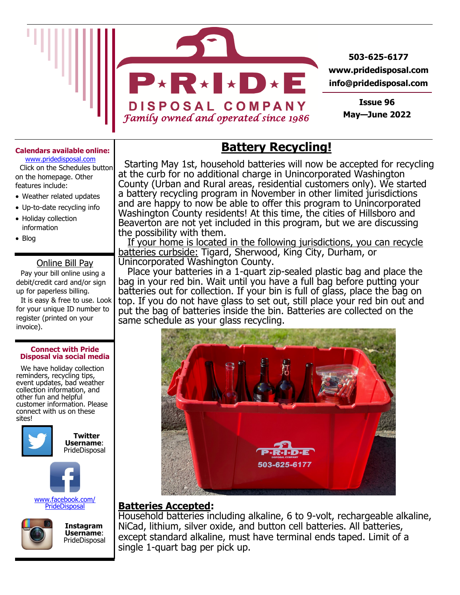

**503-625-6177 www.pridedisposal.com info@pridedisposal.com**

> **Issue 96 May—June 2022**

### **Calendars available online:**

www.pridedisposal.com Click on the Schedules button on the homepage. Other features include:

- Weather related updates
- Up-to-date recycling info
- Holiday collection information
- Blog

### Online Bill Pay

 Pay your bill online using a debit/credit card and/or sign up for paperless billing.

 It is easy & free to use. Look for your unique ID number to register (printed on your invoice).

#### **Connect with Pride Disposal via social media**

 We have holiday collection reminders, recycling tips, event updates, bad weather collection information, and other fun and helpful customer information. Please connect with us on these sites!





www.facebook.com/ **PrideDisposal** 



 **Instagram Username**: PrideDisposal

## **Battery Recycling!**

 Starting May 1st, household batteries will now be accepted for recycling at the curb for no additional charge in Unincorporated Washington County (Urban and Rural areas, residential customers only). We started a battery recycling program in November in other limited jurisdictions and are happy to now be able to offer this program to Unincorporated Washington County residents! At this time, the cities of Hillsboro and Beaverton are not yet included in this program, but we are discussing the possibility with them.

 If your home is located in the following jurisdictions, you can recycle batteries curbside: Tigard, Sherwood, King City, Durham, or Unincorporated Washington County.

 Place your batteries in a 1-quart zip-sealed plastic bag and place the bag in your red bin. Wait until you have a full bag before putting your batteries out for collection. If your bin is full of glass, place the bag on top. If you do not have glass to set out, still place your red bin out and put the bag of batteries inside the bin. Batteries are collected on the same schedule as your glass recycling.



### **Batteries Accepted:**

Household batteries including alkaline, 6 to 9-volt, rechargeable alkaline, NiCad, lithium, silver oxide, and button cell batteries. All batteries, except standard alkaline, must have terminal ends taped. Limit of a single 1-quart bag per pick up.